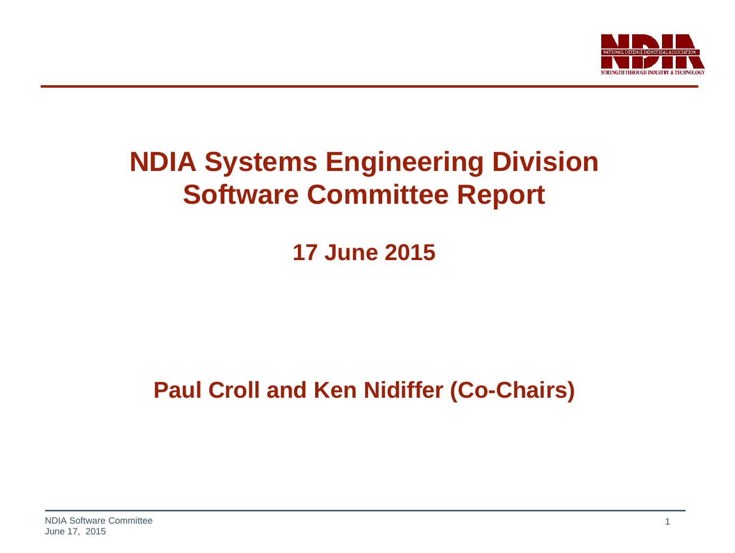

### **NDIA Systems Engineering Division Software Committee Report**

**17 June 2015**

**Paul Croll and Ken Nidiffer (Co-Chairs)**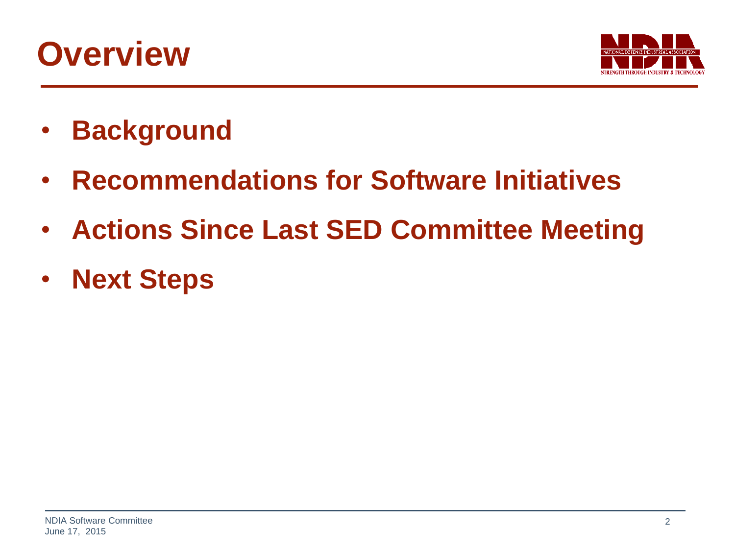### **Overview**



- **Background**
- **Recommendations for Software Initiatives**
- **Actions Since Last SED Committee Meeting**
- **Next Steps**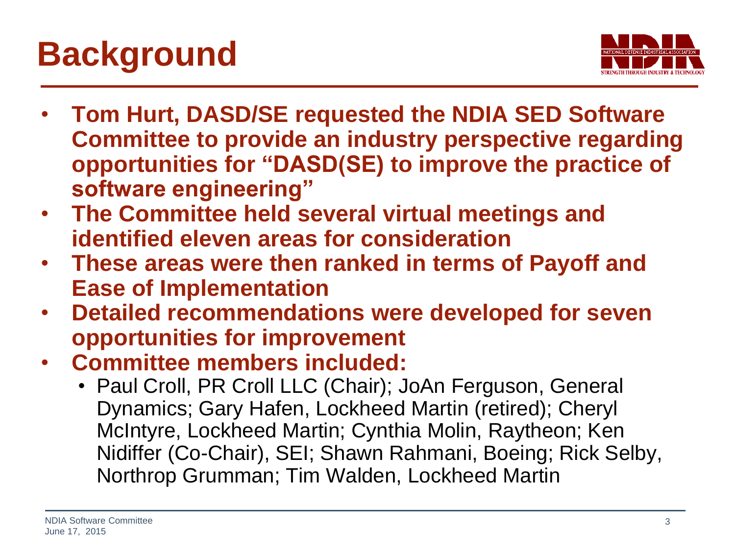# **Background**



- **Tom Hurt, DASD/SE requested the NDIA SED Software Committee to provide an industry perspective regarding opportunities for "DASD(SE) to improve the practice of software engineering"**
- **The Committee held several virtual meetings and identified eleven areas for consideration**
- **These areas were then ranked in terms of Payoff and Ease of Implementation**
- **Detailed recommendations were developed for seven opportunities for improvement**
- **Committee members included:**
	- Paul Croll, PR Croll LLC (Chair); JoAn Ferguson, General Dynamics; Gary Hafen, Lockheed Martin (retired); Cheryl McIntyre, Lockheed Martin; Cynthia Molin, Raytheon; Ken Nidiffer (Co-Chair), SEI; Shawn Rahmani, Boeing; Rick Selby, Northrop Grumman; Tim Walden, Lockheed Martin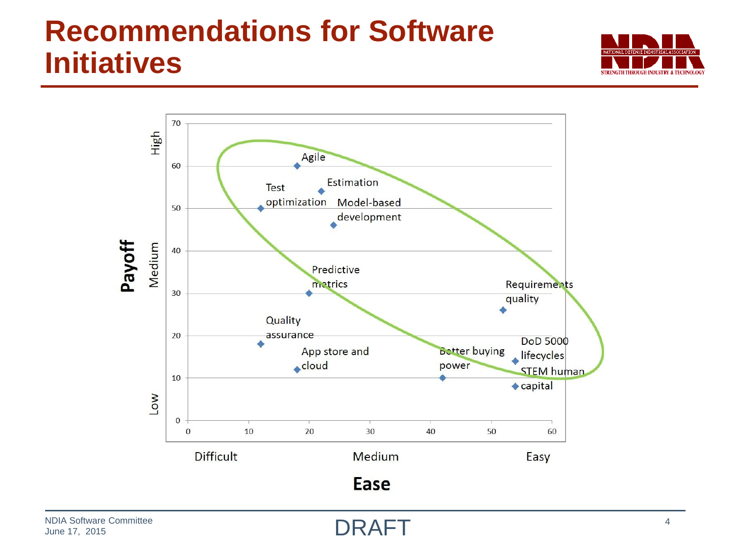### **Recommendations for Software Initiatives**





DRAFT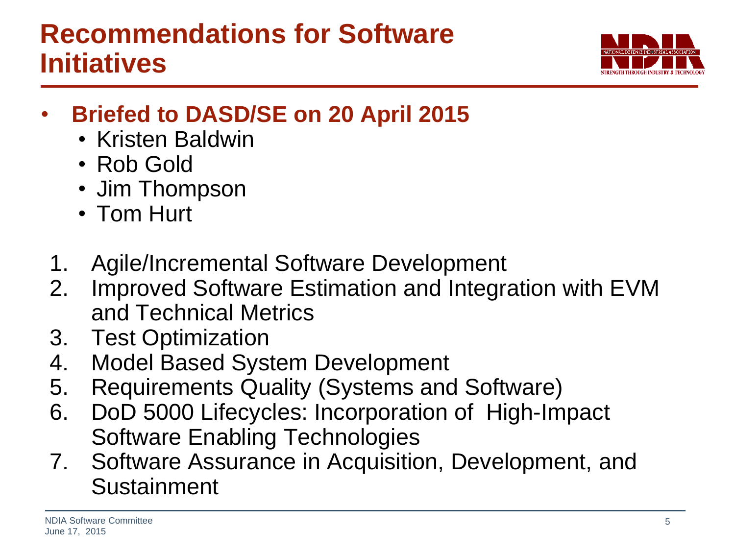

- **Briefed to DASD/SE on 20 April 2015**
	- Kristen Baldwin
	- Rob Gold
	- Jim Thompson
	- Tom Hurt
	- 1. Agile/Incremental Software Development
- 2. Improved Software Estimation and Integration with EVM and Technical Metrics
- 3. Test Optimization
- 4. Model Based System Development
- 5. Requirements Quality (Systems and Software)
- 6. DoD 5000 Lifecycles: Incorporation of High-Impact Software Enabling Technologies
- 7. Software Assurance in Acquisition, Development, and Sustainment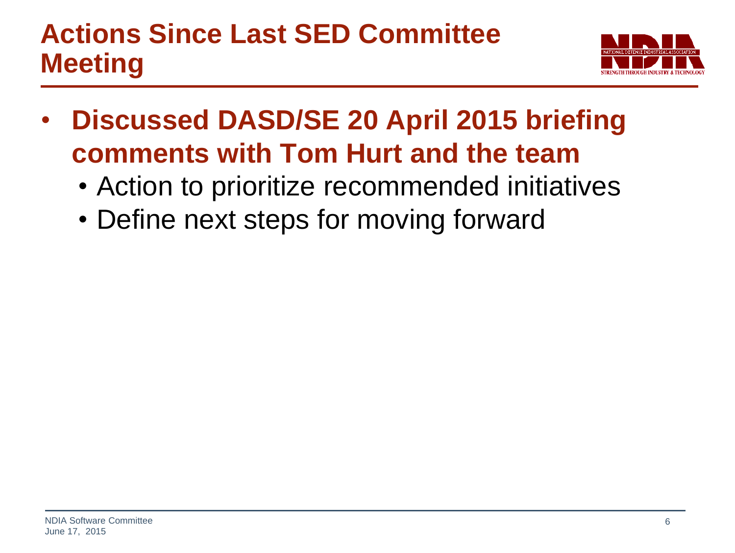### **Actions Since Last SED Committee Meeting**



- **Discussed DASD/SE 20 April 2015 briefing comments with Tom Hurt and the team**
	- Action to prioritize recommended initiatives
	- Define next steps for moving forward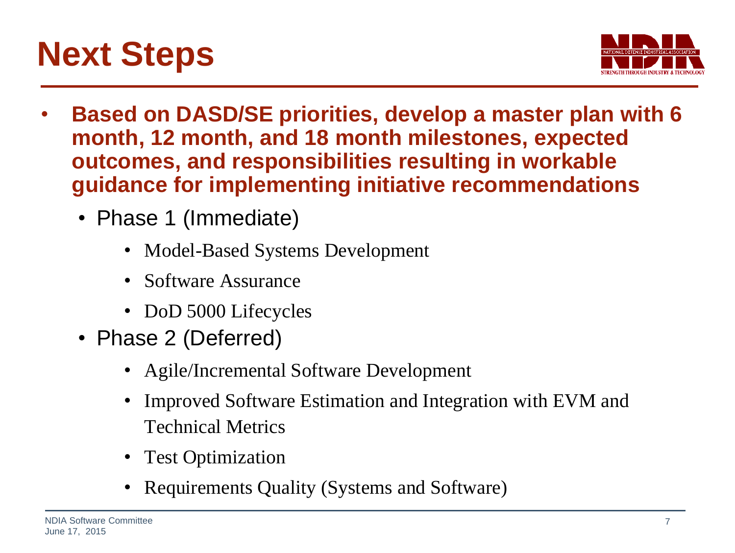



- **Based on DASD/SE priorities, develop a master plan with 6 month, 12 month, and 18 month milestones, expected outcomes, and responsibilities resulting in workable guidance for implementing initiative recommendations**
	- Phase 1 (Immediate)
		- Model-Based Systems Development
		- Software Assurance
		- DoD 5000 Lifecycles
	- Phase 2 (Deferred)
		- Agile/Incremental Software Development
		- Improved Software Estimation and Integration with EVM and Technical Metrics
		- Test Optimization
		- Requirements Quality (Systems and Software)